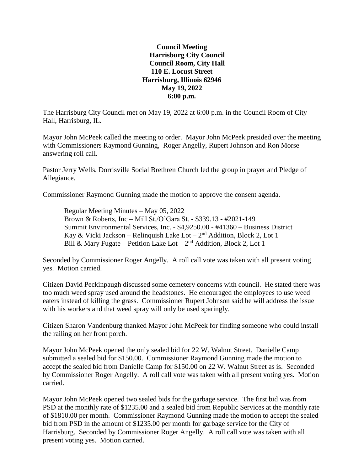**Council Meeting Harrisburg City Council Council Room, City Hall 110 E. Locust Street Harrisburg, Illinois 62946 May 19, 2022 6:00 p.m.**

The Harrisburg City Council met on May 19, 2022 at 6:00 p.m. in the Council Room of City Hall, Harrisburg, IL.

Mayor John McPeek called the meeting to order. Mayor John McPeek presided over the meeting with Commissioners Raymond Gunning, Roger Angelly, Rupert Johnson and Ron Morse answering roll call.

Pastor Jerry Wells, Dorrisville Social Brethren Church led the group in prayer and Pledge of Allegiance.

Commissioner Raymond Gunning made the motion to approve the consent agenda.

Regular Meeting Minutes – May 05, 2022 Brown & Roberts, Inc – Mill St./O'Gara St. - \$339.13 - #2021-149 Summit Environmental Services, Inc. - \$4,9250.00 - #41360 – Business District Kay & Vicki Jackson – Relinquish Lake Lot –  $2<sup>nd</sup>$  Addition, Block 2, Lot 1 Bill & Mary Fugate – Petition Lake Lot –  $2<sup>nd</sup>$  Addition, Block 2, Lot 1

Seconded by Commissioner Roger Angelly. A roll call vote was taken with all present voting yes. Motion carried.

Citizen David Peckinpaugh discussed some cemetery concerns with council. He stated there was too much weed spray used around the headstones. He encouraged the employees to use weed eaters instead of killing the grass. Commissioner Rupert Johnson said he will address the issue with his workers and that weed spray will only be used sparingly.

Citizen Sharon Vandenburg thanked Mayor John McPeek for finding someone who could install the railing on her front porch.

Mayor John McPeek opened the only sealed bid for 22 W. Walnut Street. Danielle Camp submitted a sealed bid for \$150.00. Commissioner Raymond Gunning made the motion to accept the sealed bid from Danielle Camp for \$150.00 on 22 W. Walnut Street as is. Seconded by Commissioner Roger Angelly. A roll call vote was taken with all present voting yes. Motion carried.

Mayor John McPeek opened two sealed bids for the garbage service. The first bid was from PSD at the monthly rate of \$1235.00 and a sealed bid from Republic Services at the monthly rate of \$1810.00 per month. Commissioner Raymond Gunning made the motion to accept the sealed bid from PSD in the amount of \$1235.00 per month for garbage service for the City of Harrisburg. Seconded by Commissioner Roger Angelly. A roll call vote was taken with all present voting yes. Motion carried.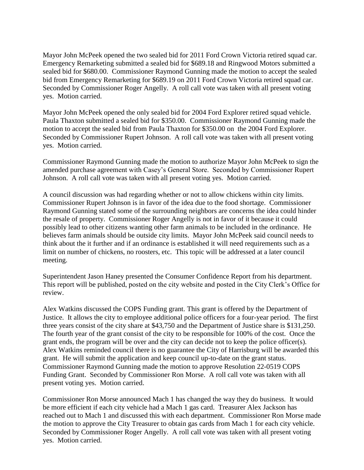Mayor John McPeek opened the two sealed bid for 2011 Ford Crown Victoria retired squad car. Emergency Remarketing submitted a sealed bid for \$689.18 and Ringwood Motors submitted a sealed bid for \$680.00. Commissioner Raymond Gunning made the motion to accept the sealed bid from Emergency Remarketing for \$689.19 on 2011 Ford Crown Victoria retired squad car. Seconded by Commissioner Roger Angelly. A roll call vote was taken with all present voting yes. Motion carried.

Mayor John McPeek opened the only sealed bid for 2004 Ford Explorer retired squad vehicle. Paula Thaxton submitted a sealed bid for \$350.00. Commissioner Raymond Gunning made the motion to accept the sealed bid from Paula Thaxton for \$350.00 on the 2004 Ford Explorer. Seconded by Commissioner Rupert Johnson. A roll call vote was taken with all present voting yes. Motion carried.

Commissioner Raymond Gunning made the motion to authorize Mayor John McPeek to sign the amended purchase agreement with Casey's General Store. Seconded by Commissioner Rupert Johnson. A roll call vote was taken with all present voting yes. Motion carried.

A council discussion was had regarding whether or not to allow chickens within city limits. Commissioner Rupert Johnson is in favor of the idea due to the food shortage. Commissioner Raymond Gunning stated some of the surrounding neighbors are concerns the idea could hinder the resale of property. Commissioner Roger Angelly is not in favor of it because it could possibly lead to other citizens wanting other farm animals to be included in the ordinance. He believes farm animals should be outside city limits. Mayor John McPeek said council needs to think about the it further and if an ordinance is established it will need requirements such as a limit on number of chickens, no roosters, etc. This topic will be addressed at a later council meeting.

Superintendent Jason Haney presented the Consumer Confidence Report from his department. This report will be published, posted on the city website and posted in the City Clerk's Office for review.

Alex Watkins discussed the COPS Funding grant. This grant is offered by the Department of Justice. It allows the city to employee additional police officers for a four-year period. The first three years consist of the city share at \$43,750 and the Department of Justice share is \$131,250. The fourth year of the grant consist of the city to be responsible for 100% of the cost. Once the grant ends, the program will be over and the city can decide not to keep the police officer(s). Alex Watkins reminded council there is no guarantee the City of Harrisburg will be awarded this grant. He will submit the application and keep council up-to-date on the grant status. Commissioner Raymond Gunning made the motion to approve Resolution 22-0519 COPS Funding Grant. Seconded by Commissioner Ron Morse. A roll call vote was taken with all present voting yes. Motion carried.

Commissioner Ron Morse announced Mach 1 has changed the way they do business. It would be more efficient if each city vehicle had a Mach 1 gas card. Treasurer Alex Jackson has reached out to Mach 1 and discussed this with each department. Commissioner Ron Morse made the motion to approve the City Treasurer to obtain gas cards from Mach 1 for each city vehicle. Seconded by Commissioner Roger Angelly. A roll call vote was taken with all present voting yes. Motion carried.